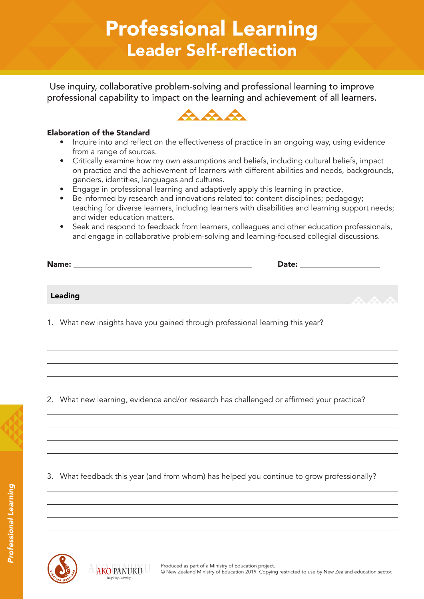# Professional Learning Leader Self-reflection

Use inquiry, collaborative problem-solving and professional learning to improve professional capability to impact on the learning and achievement of all learners.



#### Elaboration of the Standard

- Inquire into and reflect on the effectiveness of practice in an ongoing way, using evidence from a range of sources.
- Critically examine how my own assumptions and beliefs, including cultural beliefs, impact on practice and the achievement of learners with different abilities and needs, backgrounds, genders, identities, languages and cultures.
- Engage in professional learning and adaptively apply this learning in practice.
- Be informed by research and innovations related to: content disciplines; pedagogy; teaching for diverse learners, including learners with disabilities and learning support needs; and wider education matters.
- Seek and respond to feedback from learners, colleagues and other education professionals, and engage in collaborative problem-solving and learning-focused collegial discussions.

| Name:          | Date: |         |
|----------------|-------|---------|
|                |       |         |
| <b>Leading</b> |       | $A + A$ |
|                |       |         |

1. What new insights have you gained through professional learning this year?

2. What new learning, evidence and/or research has challenged or affirmed your practice?

3. What feedback this year (and from whom) has helped you continue to grow professionally?



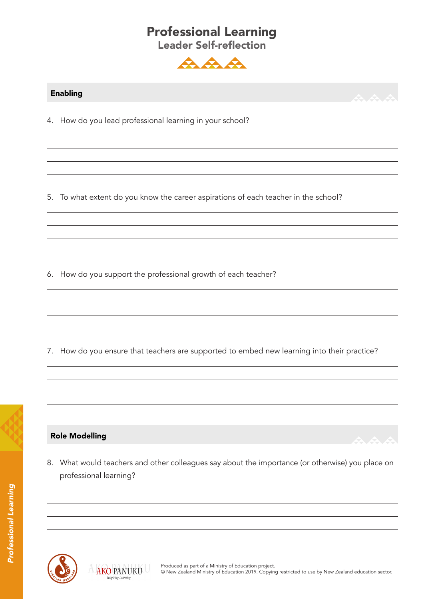#### Professional Learning Leader Self-reflection



#### Enabling

4. How do you lead professional learning in your school?

5. To what extent do you know the career aspirations of each teacher in the school?

6. How do you support the professional growth of each teacher?

7. How do you ensure that teachers are supported to embed new learning into their practice?



8. What would teachers and other colleagues say about the importance (or otherwise) you place on professional learning?



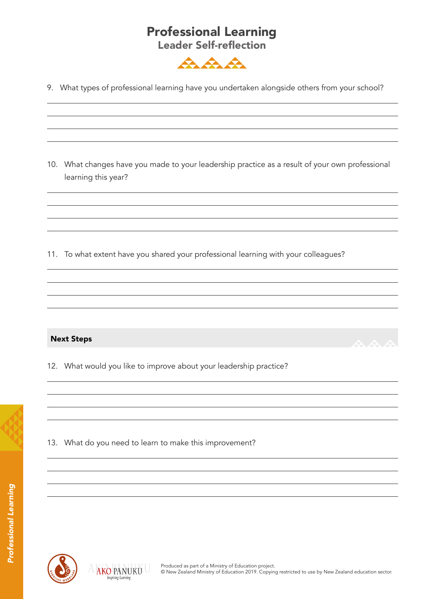## Professional Learning

Leader Self-reflection



9. What types of professional learning have you undertaken alongside others from your school?

10. What changes have you made to your leadership practice as a result of your own professional learning this year?

11. To what extent have you shared your professional learning with your colleagues?

#### Next Steps

12. What would you like to improve about your leadership practice?

13. What do you need to learn to make this improvement?



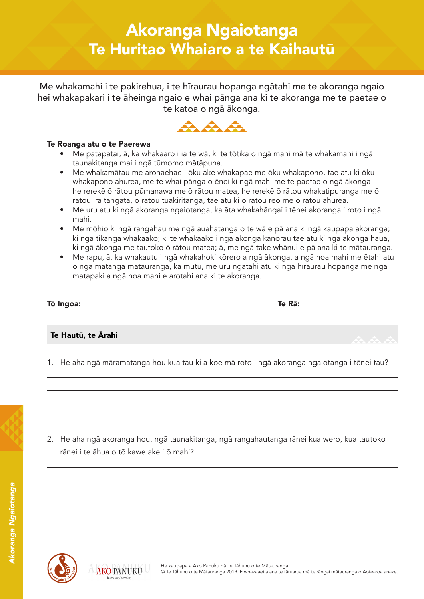Me whakamahi i te pakirehua, i te hīraurau hopanga ngātahi me te akoranga ngaio hei whakapakari i te āheinga ngaio e whai pānga ana ki te akoranga me te paetae o te katoa o ngā ākonga.



#### Te Roanga atu o te Paerewa

- Me patapatai, ā, ka whakaaro i ia te wā, ki te tōtika o ngā mahi mā te whakamahi i ngā taunakitanga mai i ngā tūmomo mātāpuna.
- Me whakamātau me arohaehae i ōku ake whakapae me ōku whakapono, tae atu ki ōku whakapono ahurea, me te whai pānga o ēnei ki ngā mahi me te paetae o ngā ākonga he rerekē ō rātou pūmanawa me ō rātou matea, he rerekē ō rātou whakatipuranga me ō rātou ira tangata, ō rātou tuakiritanga, tae atu ki ō rātou reo me ō rātou ahurea.
- Me uru atu ki ngā akoranga ngaiotanga, ka āta whakahāngai i tēnei akoranga i roto i ngā mahi.
- Me mōhio ki ngā rangahau me ngā auahatanga o te wā e pā ana ki ngā kaupapa akoranga; ki ngā tikanga whakaako; ki te whakaako i ngā ākonga kanorau tae atu ki ngā ākonga hauā, ki ngā ākonga me tautoko ō rātou matea; ā, me ngā take whānui e pā ana ki te mātauranga.
- Me rapu, ā, ka whakautu i ngā whakahoki kōrero a ngā ākonga, a ngā hoa mahi me ētahi atu o ngā mātanga mātauranga, ka mutu, me uru ngātahi atu ki ngā hīraurau hopanga me ngā matapaki a ngā hoa mahi e arotahi ana ki te akoranga.

| Tō Ingoa: | . n-<br>. |
|-----------|-----------|
|           |           |

#### Te Hautū, te Ārahi

1. He aha ngā māramatanga hou kua tau ki a koe mā roto i ngā akoranga ngaiotanga i tēnei tau?

2. He aha ngā akoranga hou, ngā taunakitanga, ngā rangahautanga rānei kua wero, kua tautoko rānei i te āhua o tō kawe ake i ō mahi?



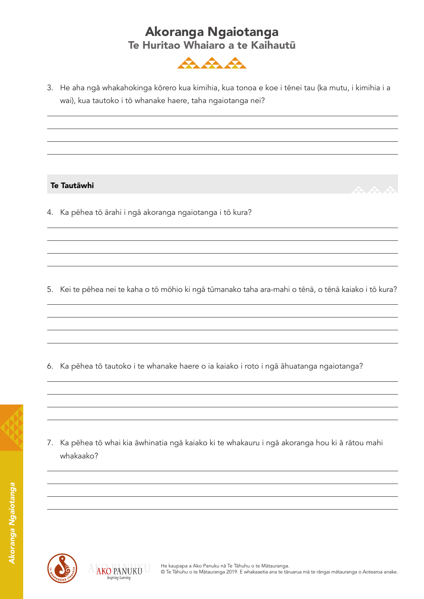

3. He aha ngā whakahokinga kōrero kua kimihia, kua tonoa e koe i tēnei tau (ka mutu, i kimihia i a wai), kua tautoko i tō whanake haere, taha ngaiotanga nei?

#### Te Tautāwhi

4. Ka pēhea tō ārahi i ngā akoranga ngaiotanga i tō kura?

5. Kei te pēhea nei te kaha o tō mōhio ki ngā tūmanako taha ara-mahi o tēnā, o tēnā kaiako i tō kura?

6. Ka pēhea tō tautoko i te whanake haere o ia kaiako i roto i ngā āhuatanga ngaiotanga?



7. Ka pēhea tō whai kia āwhinatia ngā kaiako ki te whakauru i ngā akoranga hou ki ā rātou mahi whakaako?



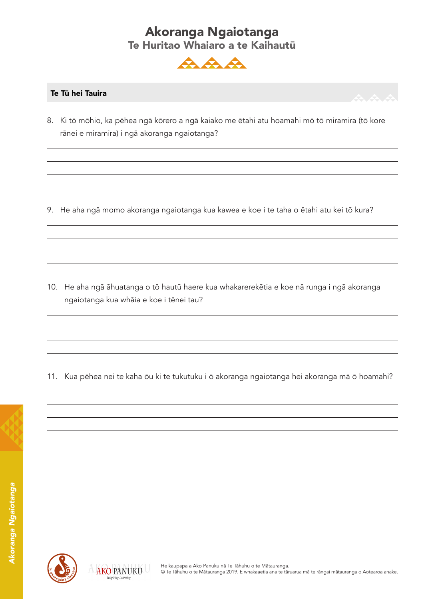

#### Te Tū hei Tauira

8. Ki tō mōhio, ka pēhea ngā kōrero a ngā kaiako me ētahi atu hoamahi mō tō miramira (tō kore rānei e miramira) i ngā akoranga ngaiotanga?

9. He aha ngā momo akoranga ngaiotanga kua kawea e koe i te taha o ētahi atu kei tō kura?

10. He aha ngā āhuatanga o tō hautū haere kua whakarerekētia e koe nā runga i ngā akoranga ngaiotanga kua whāia e koe i tēnei tau?

11. Kua pēhea nei te kaha ōu ki te tukutuku i ō akoranga ngaiotanga hei akoranga mā ō hoamahi?